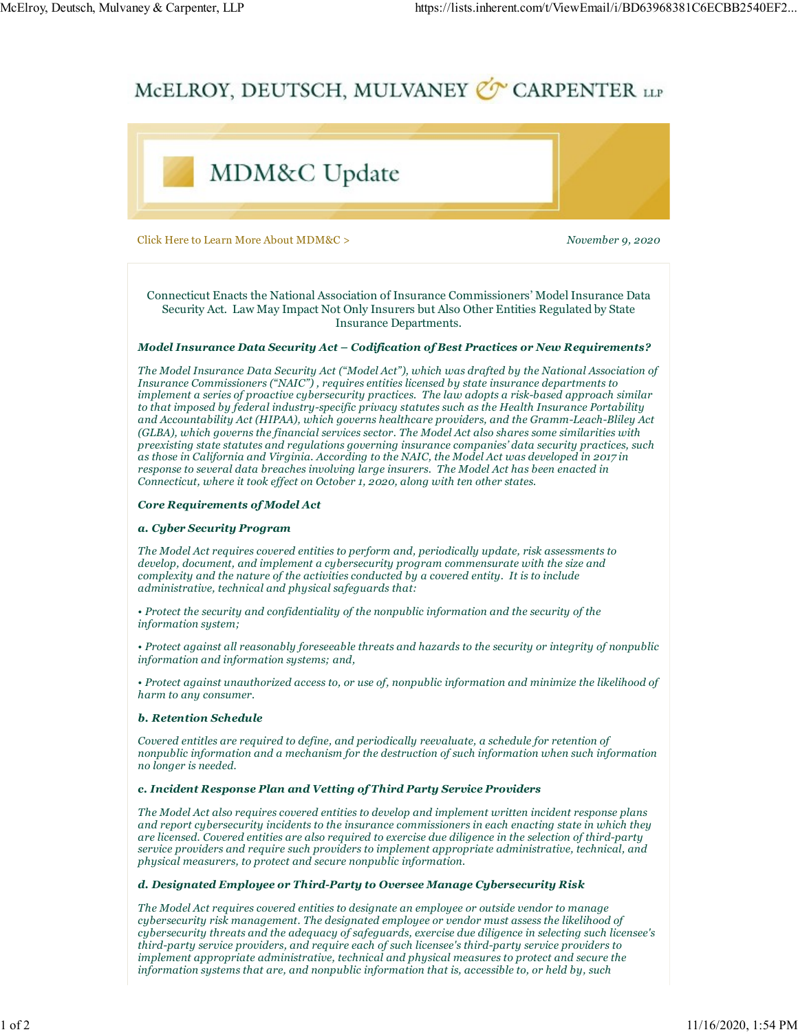# McElroy, Deutsch, Mulvaney & Carpenter, LLP https://lists.inherent.com/t/ViewEmail/i/BD63968381C6ECBB2540EF2...<br>McELROY\_DEUTSCH\_MULVANEY & CARPENTER\_UP



Click Here to Learn More About MDM&C > November 9, 2020

Connecticut Enacts the National Association of Insurance Commissioners' Model Insurance Data Security Act. Law May Impact Not Only Insurers but Also Other Entities Regulated by State Insurance Departments.

### Model Insurance Data Security Act – Codification of Best Practices or New Requirements?

The Model Insurance Data Security Act ("Model Act"), which was drafted by the National Association of Insurance Commissioners ("NAIC") , requires entities licensed by state insurance departments to implement a series of proactive cybersecurity practices. The law adopts a risk-based approach similar to that imposed by federal industry-specific privacy statutes such as the Health Insurance Portability and Accountability Act (HIPAA), which governs healthcare providers, and the Gramm-Leach-Bliley Act (GLBA), which governs the financial services sector. The Model Act also shares some similarities with preexisting state statutes and regulations governing insurance companies' data security practices, such as those in California and Virginia. According to the NAIC, the Model Act was developed in 2017 in response to several data breaches involving large insurers. The Model Act has been enacted in Connecticut, where it took effect on October 1, 2020, along with ten other states.

### Core Requirements of Model Act

### a. Cyber Security Program

The Model Act requires covered entities to perform and, periodically update, risk assessments to develop, document, and implement a cybersecurity program commensurate with the size and complexity and the nature of the activities conducted by a covered entity. It is to include administrative, technical and physical safeguards that:

• Protect the security and confidentiality of the nonpublic information and the security of the information system;

• Protect against all reasonably foreseeable threats and hazards to the security or integrity of nonpublic information and information systems; and,

• Protect against unauthorized access to, or use of, nonpublic information and minimize the likelihood of harm to any consumer.

### b. Retention Schedule

Covered entitles are required to define, and periodically reevaluate, a schedule for retention of nonpublic information and a mechanism for the destruction of such information when such information no longer is needed.

### c. Incident Response Plan and Vetting of Third Party Service Providers

The Model Act also requires covered entities to develop and implement written incident response plans and report cybersecurity incidents to the insurance commissioners in each enacting state in which they are licensed. Covered entities are also required to exercise due diligence in the selection of third-party service providers and require such providers to implement appropriate administrative, technical, and physical measurers, to protect and secure nonpublic information.

### d. Designated Employee or Third-Party to Oversee Manage Cybersecurity Risk

The Model Act requires covered entities to designate an employee or outside vendor to manage cybersecurity risk management. The designated employee or vendor must assess the likelihood of cybersecurity threats and the adequacy of safeguards, exercise due diligence in selecting such licensee's third-party service providers, and require each of such licensee's third-party service providers to implement appropriate administrative, technical and physical measures to protect and secure the information systems that are, and nonpublic information that is, accessible to, or held by, such